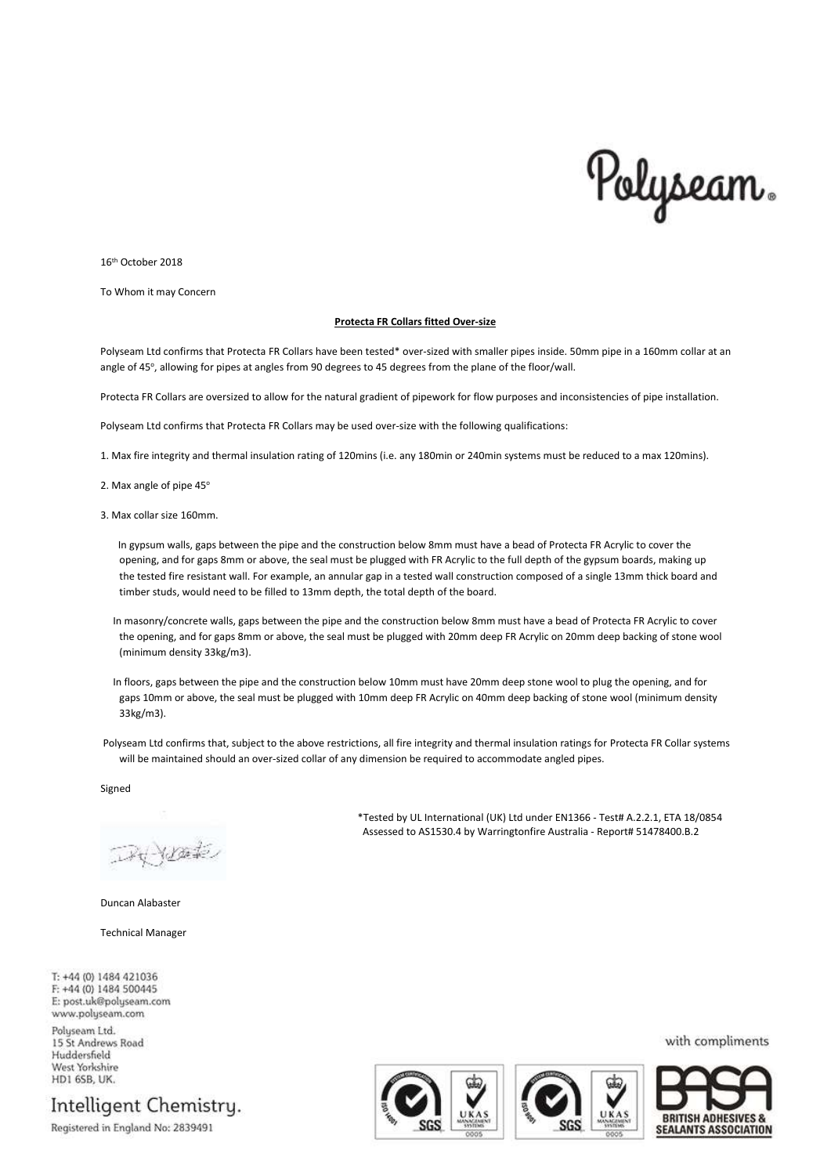

16th October 2018

To Whom it may Concern

## **Protecta FR Collars fitted Over-size**

Polyseam Ltd confirms that Protecta FR Collars have been tested\* over-sized with smaller pipes inside. 50mm pipe in a 160mm collar at an angle of 45°, allowing for pipes at angles from 90 degrees to 45 degrees from the plane of the floor/wall.

Protecta FR Collars are oversized to allow for the natural gradient of pipework for flow purposes and inconsistencies of pipe installation.

Polyseam Ltd confirms that Protecta FR Collars may be used over-size with the following qualifications:

1. Max fire integrity and thermal insulation rating of 120mins (i.e. any 180min or 240min systems must be reduced to a max 120mins).

2. Max angle of pipe  $45^\circ$ 

3. Max collar size 160mm.

In gypsum walls, gaps between the pipe and the construction below 8mm must have a bead of Protecta FR Acrylic to cover the opening, and for gaps 8mm or above, the seal must be plugged with FR Acrylic to the full depth of the gypsum boards, making up the tested fire resistant wall. For example, an annular gap in a tested wall construction composed of a single 13mm thick board and timber studs, would need to be filled to 13mm depth, the total depth of the board.

- In masonry/concrete walls, gaps between the pipe and the construction below 8mm must have a bead of Protecta FR Acrylic to cover the opening, and for gaps 8mm or above, the seal must be plugged with 20mm deep FR Acrylic on 20mm deep backing of stone wool (minimum density 33kg/m3).
- In floors, gaps between the pipe and the construction below 10mm must have 20mm deep stone wool to plug the opening, and for gaps 10mm or above, the seal must be plugged with 10mm deep FR Acrylic on 40mm deep backing of stone wool (minimum density 33kg/m3).

Polyseam Ltd confirms that, subject to the above restrictions, all fire integrity and thermal insulation ratings for Protecta FR Collar systems will be maintained should an over-sized collar of any dimension be required to accommodate angled pipes.

Signed

DRYDOLE

Duncan Alabaster

Technical Manager

T: +44 (0) 1484 421036 F: +44 (0) 1484 500445 E: post.uk@polyseam.com www.polyseam.com

Polyseam Ltd. 15 St Andrews Road Huddersfield West Yorkshire **HD1 6SB, UK.** 

Intelligent Chemistry.

Registered in England No: 2839491

\*Tested by UL International (UK) Ltd under EN1366 - Test# A.2.2.1, ETA 18/0854 Assessed to AS1530.4 by Warringtonfire Australia - Report# 51478400.B.2







with compliments